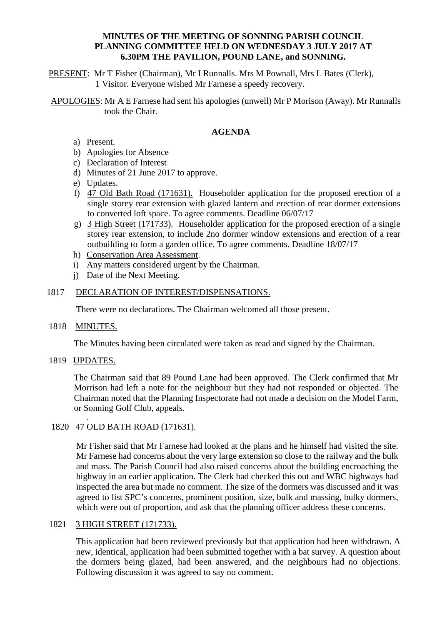### **MINUTES OF THE MEETING OF SONNING PARISH COUNCIL PLANNING COMMITTEE HELD ON WEDNESDAY 3 JULY 2017 AT 6.30PM THE PAVILION, POUND LANE, and SONNING.**

PRESENT: Mr T Fisher (Chairman), Mr I Runnalls. Mrs M Pownall, Mrs L Bates (Clerk), 1 Visitor. Everyone wished Mr Farnese a speedy recovery.

APOLOGIES: Mr A E Farnese had sent his apologies (unwell) Mr P Morison (Away). Mr Runnalls took the Chair.

### **AGENDA**

- a) Present.
- b) Apologies for Absence
- c) Declaration of Interest
- d) Minutes of 21 June 2017 to approve.
- e) Updates.
- f) 47 Old Bath Road (171631). Householder application for the proposed erection of a single storey rear extension with glazed lantern and erection of rear dormer extensions to converted loft space. To agree comments. Deadline 06/07/17
- g) 3 High Street (171733). Householder application for the proposed erection of a single storey rear extension, to include 2no dormer window extensions and erection of a rear outbuilding to form a garden office. To agree comments. Deadline 18/07/17
- h) Conservation Area Assessment.
- i) Any matters considered urgent by the Chairman.
- j) Date of the Next Meeting.

### 1817 DECLARATION OF INTEREST/DISPENSATIONS.

There were no declarations. The Chairman welcomed all those present.

1818 MINUTES.

The Minutes having been circulated were taken as read and signed by the Chairman.

### 1819 UPDATES.

.

The Chairman said that 89 Pound Lane had been approved. The Clerk confirmed that Mr Morrison had left a note for the neighbour but they had not responded or objected. The Chairman noted that the Planning Inspectorate had not made a decision on the Model Farm, or Sonning Golf Club, appeals.

# 1820 47 OLD BATH ROAD (171631).

Mr Fisher said that Mr Farnese had looked at the plans and he himself had visited the site. Mr Farnese had concerns about the very large extension so close to the railway and the bulk and mass. The Parish Council had also raised concerns about the building encroaching the highway in an earlier application. The Clerk had checked this out and WBC highways had inspected the area but made no comment. The size of the dormers was discussed and it was agreed to list SPC's concerns, prominent position, size, bulk and massing, bulky dormers, which were out of proportion, and ask that the planning officer address these concerns.

# 1821 3 HIGH STREET (171733).

This application had been reviewed previously but that application had been withdrawn. A new, identical, application had been submitted together with a bat survey. A question about the dormers being glazed, had been answered, and the neighbours had no objections. Following discussion it was agreed to say no comment.